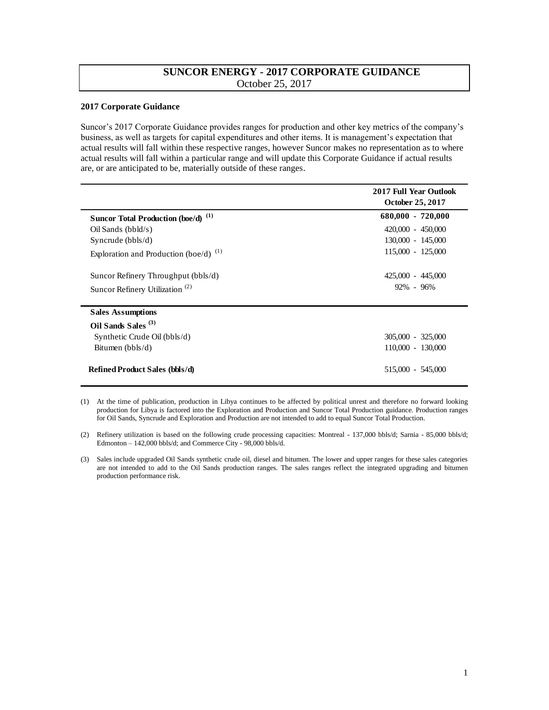## **SUNCOR ENERGY - 2017 CORPORATE GUIDANCE**  October 25, 2017

## **2017 Corporate Guidance**

Suncor's 2017 Corporate Guidance provides ranges for production and other key metrics of the company's business, as well as targets for capital expenditures and other items. It is management's expectation that actual results will fall within these respective ranges, however Suncor makes no representation as to where actual results will fall within a particular range and will update this Corporate Guidance if actual results are, or are anticipated to be, materially outside of these ranges.

|                                                | 2017 Full Year Outlook<br>October 25, 2017 |
|------------------------------------------------|--------------------------------------------|
| Suncor Total Production (boe/d) <sup>(1)</sup> | $680,000 - 720,000$                        |
| $Oil$ Sands ( $bbld/s$ )                       | $420,000 - 450,000$                        |
| Syncrude $(bbls/d)$                            | 130,000 - 145,000                          |
| Exploration and Production (boe/d) $^{(1)}$    | 115,000 - 125,000                          |
| Suncor Refinery Throughput (bbls/d)            | 425,000 - 445,000                          |
| Suncor Refinery Utilization <sup>(2)</sup>     | $92\% - 96\%$                              |
| <b>Sales Assumptions</b>                       |                                            |
| Oil Sands Sales <sup>(3)</sup>                 |                                            |
| Synthetic Crude Oil (bbls/d)                   | $305,000 - 325,000$                        |
| Bitumen (bbls/d)                               | 110,000 - 130,000                          |
| <b>Refined Product Sales (bbls/d)</b>          | 515,000 - 545,000                          |

<sup>(1)</sup> At the time of publication, production in Libya continues to be affected by political unrest and therefore no forward looking production for Libya is factored into the Exploration and Production and Suncor Total Production guidance. Production ranges for Oil Sands, Syncrude and Exploration and Production are not intended to add to equal Suncor Total Production.

(2) Refinery utilization is based on the following crude processing capacities: Montreal - 137,000 bbls/d; Sarnia - 85,000 bbls/d; Edmonton – 142,000 bbls/d; and Commerce City - 98,000 bbls/d.

<sup>(3)</sup> Sales include upgraded Oil Sands synthetic crude oil, diesel and bitumen. The lower and upper ranges for these sales categories are not intended to add to the Oil Sands production ranges. The sales ranges reflect the integrated upgrading and bitumen production performance risk.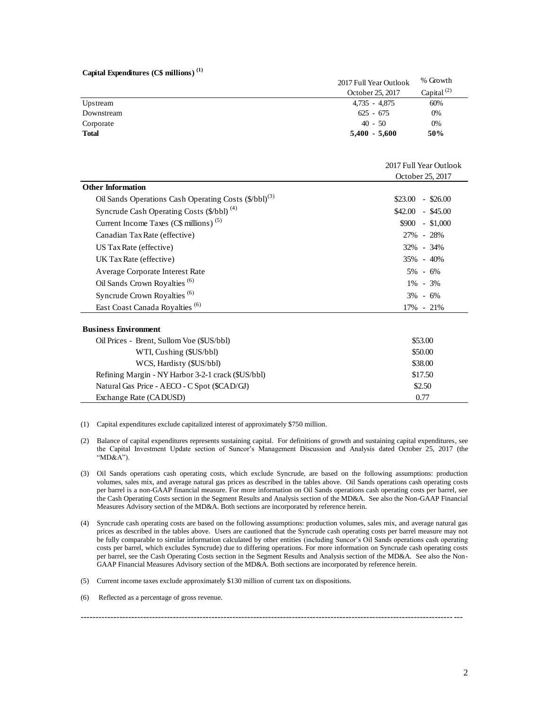## **Capital Expenditures (C\$ millions) (1)**

| Capital Expenditures $(C\$ millions) <sup>(1)</sup> |                        |                  |
|-----------------------------------------------------|------------------------|------------------|
|                                                     | 2017 Full Year Outlook | % Growth         |
|                                                     | October 25, 2017       | Capital $^{(2)}$ |
| Upstream                                            | $4,735 - 4,875$        | 60%              |
| Downstream                                          | $625 - 675$            | 0%               |
| Corporate                                           | $40 - 50$              | 0%               |
| <b>Total</b>                                        | $5,400 - 5,600$        | 50%              |
|                                                     |                        |                  |

|                                                                   | 2017 Full Year Outlook |  |
|-------------------------------------------------------------------|------------------------|--|
|                                                                   | October 25, 2017       |  |
| <b>Other Information</b>                                          |                        |  |
| Oil Sands Operations Cash Operating Costs (\$/bbl) <sup>(3)</sup> | $-$ \$26.00<br>\$23.00 |  |
| Syncrude Cash Operating Costs (\$/bbl) <sup>(4)</sup>             | $$42.00$ - \$45.00     |  |
| Current Income Taxes ( $CS$ millions) <sup>(5)</sup>              | $$900 - $1,000$        |  |
| Canadian Tax Rate (effective)                                     | 27% - 28%              |  |
| US Tax Rate (effective)                                           | 32% - 34%              |  |
| UK Tax Rate (effective)                                           | 35% - 40%              |  |
| Average Corporate Interest Rate                                   | $5\% - 6\%$            |  |
| Oil Sands Crown Royalties <sup>(6)</sup>                          | $1\% - 3\%$            |  |
| Syncrude Crown Royalties <sup>(6)</sup>                           | $3\% - 6\%$            |  |
| East Coast Canada Royalties <sup>(6)</sup>                        | $17\% - 21\%$          |  |
| <b>Business Environment</b>                                       |                        |  |
| Oil Prices - Brent, Sullom Voe (\$US/bbl)                         | \$53.00                |  |
| WTI, Cushing (\$US/bbl)                                           | \$50.00                |  |
| WCS, Hardisty (\$US/bbl)                                          | \$38.00                |  |
| Refining Margin - NY Harbor 3-2-1 crack (\$US/bbl)                | \$17.50                |  |
| Natural Gas Price - AECO - C Spot (\$CAD/GJ)                      | \$2.50                 |  |
| Exchange Rate (CADUSD)                                            | 0.77                   |  |

(1) Capital expenditures exclude capitalized interest of approximately \$750 million.

- (2) Balance of capital expenditures represents sustaining capital. For definitions of growth and sustaining capital expenditures, see the Capital Investment Update section of Suncor's Management Discussion and Analysis dated October 25, 2017 (the "MD&A").
- (3) Oil Sands operations cash operating costs, which exclude Syncrude, are based on the following assumptions: production volumes, sales mix, and average natural gas prices as described in the tables above. Oil Sands operations cash operating costs per barrel is a non-GAAP financial measure. For more information on Oil Sands operations cash operating costs per barrel, see the Cash Operating Costs section in the Segment Results and Analysis section of the MD&A. See also the Non-GAAP Financial Measures Advisory section of the MD&A. Both sections are incorporated by reference herein.
- (4) Syncrude cash operating costs are based on the following assumptions: production volumes, sales mix, and average natural gas prices as described in the tables above. Users are cautioned that the Syncrude cash operating costs per barrel measure may not be fully comparable to similar information calculated by other entities (including Suncor's Oil Sands operations cash operating costs per barrel, which excludes Syncrude) due to differing operations. For more information on Syncrude cash operating costs per barrel, see the Cash Operating Costs section in the Segment Results and Analysis section of the MD&A. See also the Non-GAAP Financial Measures Advisory section of the MD&A. Both sections are incorporated by reference herein.

----------------------------------------------------------------------------------------------------------------------------- ---

- (5) Current income taxes exclude approximately \$130 million of current tax on dispositions.
- (6) Reflected as a percentage of gross revenue.